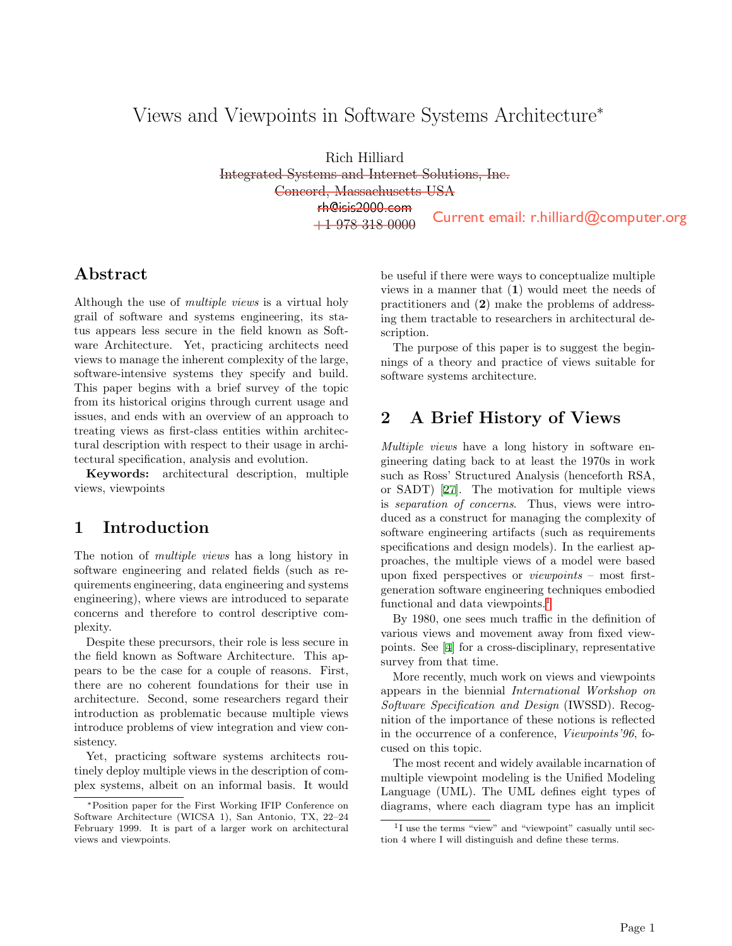# Views and Viewpoints in Software Systems Architecture<sup>∗</sup>

Rich Hilliard Integrated Systems and Internet Solutions, Inc. Concord, Massachusetts USA rh@isis2000.com +1 978 318 0000

### Abstract

Although the use of *multiple views* is a virtual holy grail of software and systems engineering, its status appears less secure in the field known as Software Architecture. Yet, practicing architects need views to manage the inherent complexity of the large, software-intensive systems they specify and build. This paper begins with a brief survey of the topic from its historical origins through current usage and issues, and ends with an overview of an approach to treating views as first-class entities within architectural description with respect to their usage in architectural specification, analysis and evolution.

Keywords: architectural description, multiple views, viewpoints

# 1 Introduction

The notion of *multiple views* has a long history in software engineering and related fields (such as requirements engineering, data engineering and systems engineering), where views are introduced to separate concerns and therefore to control descriptive complexity.

Despite these precursors, their role is less secure in the field known as Software Architecture. This appears to be the case for a couple of reasons. First, there are no coherent foundations for their use in architecture. Second, some researchers regard their introduction as problematic because multiple views introduce problems of view integration and view consistency.

Yet, practicing software systems architects routinely deploy multiple views in the description of complex systems, albeit on an informal basis. It would be useful if there were ways to conceptualize multiple views in a manner that (1) would meet the needs of practitioners and (2) make the problems of addressing them tractable to researchers in architectural description.

The purpose of this paper is to suggest the beginnings of a theory and practice of views suitable for software systems architecture.

#### 2 A Brief History of Views

*Multiple views* have a long history in software engineering dating back to at least the 1970s in work such as Ross' Structured Analysis (henceforth RSA, or SADT) [\[27](#page-8-0)]. The motivation for multiple views is *separation of concerns*. Thus, views were introduced as a construct for managing the complexity of software engineering artifacts (such as requirements specifications and design models). In the earliest approaches, the multiple views of a model were based upon fixed perspectives or *viewpoints* – most firstgeneration software engineering techniques embodied functional and data viewpoints.<sup>[1](#page-0-0)</sup> **Current email:** r.hilliard@computer.org<br>
f there were ways to conceptualize multiple<br>
manner that (1) would meet the needs of<br>
restand (2) make the problems of address-<br>
stractable to researchers in architectural de-<br>
pr

By 1980, one sees much traffic in the definition of various views and movement away from fixed viewpoints. See [[4\]](#page-7-0) for a cross-disciplinary, representative survey from that time.

More recently, much work on views and viewpoints appears in the biennial *International Workshop on Software Specification and Design* (IWSSD). Recognition of the importance of these notions is reflected in the occurrence of a conference, *Viewpoints'96*, focused on this topic.

The most recent and widely available incarnation of multiple viewpoint modeling is the Unified Modeling Language (UML). The UML defines eight types of diagrams, where each diagram type has an implicit

<sup>∗</sup>Position paper for the First Working IFIP Conference on Software Architecture (WICSA 1), San Antonio, TX, 22–24 February 1999. It is part of a larger work on architectural views and viewpoints.

<span id="page-0-0"></span><sup>&</sup>lt;sup>1</sup>I use the terms "view" and "viewpoint" casually until section 4 where I will distinguish and define these terms.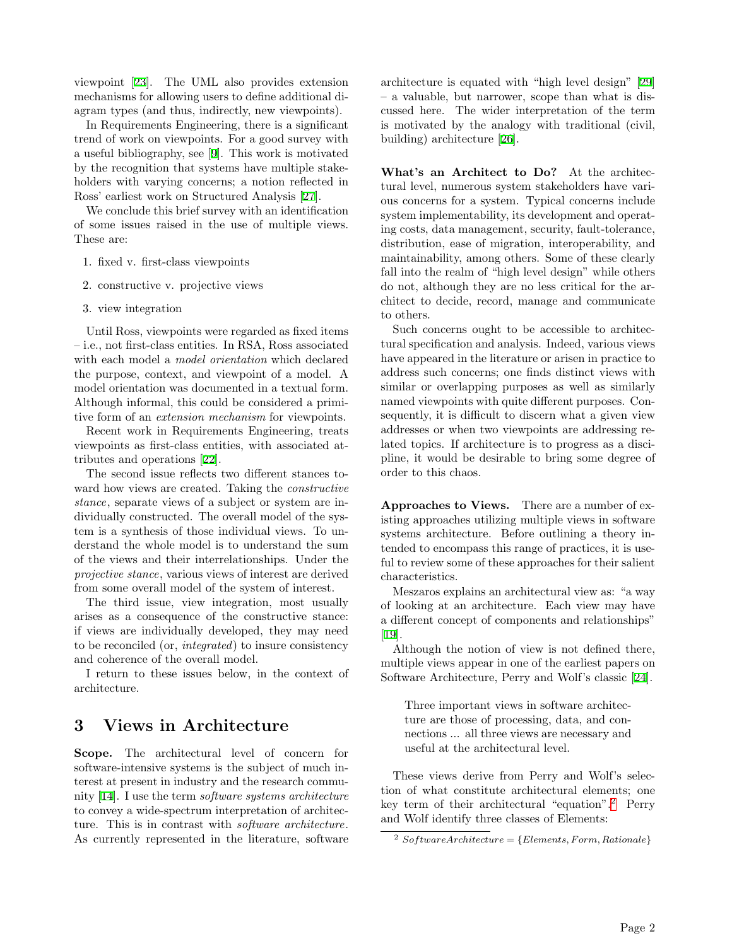viewpoint [\[23](#page-8-1)]. The UML also provides extension mechanisms for allowing users to define additional diagram types (and thus, indirectly, new viewpoints).

In Requirements Engineering, there is a significant trend of work on viewpoints. For a good survey with a useful bibliography, see [[9\]](#page-8-2). This work is motivated by the recognition that systems have multiple stakeholders with varying concerns; a notion reflected in Ross' earliest work on Structured Analysis [[27](#page-8-0)].

We conclude this brief survey with an identification of some issues raised in the use of multiple views. These are:

- 1. fixed v. first-class viewpoints
- 2. constructive v. projective views
- 3. view integration

Until Ross, viewpoints were regarded as fixed items – i.e., not first-class entities. In RSA, Ross associated with each model a *model orientation* which declared the purpose, context, and viewpoint of a model. A model orientation was documented in a textual form. Although informal, this could be considered a primitive form of an *extension mechanism* for viewpoints.

Recent work in Requirements Engineering, treats viewpoints as first-class entities, with associated attributes and operations [[22\]](#page-8-3).

The second issue reflects two different stances toward how views are created. Taking the *constructive stance*, separate views of a subject or system are individually constructed. The overall model of the system is a synthesis of those individual views. To understand the whole model is to understand the sum of the views and their interrelationships. Under the *projective stance*, various views of interest are derived from some overall model of the system of interest.

The third issue, view integration, most usually arises as a consequence of the constructive stance: if views are individually developed, they may need to be reconciled (or, *integrated*) to insure consistency and coherence of the overall model.

I return to these issues below, in the context of architecture.

### 3 Views in Architecture

Scope. The architectural level of concern for software-intensive systems is the subject of much interest at present in industry and the research community [[14\]](#page-8-4). I use the term *software systems architecture* to convey a wide-spectrum interpretation of architecture. This is in contrast with *software architecture*. As currently represented in the literature, software

architecture is equated with "high level design" [\[29](#page-9-0)] – a valuable, but narrower, scope than what is discussed here. The wider interpretation of the term is motivated by the analogy with traditional (civil, building) architecture [\[26](#page-8-5)].

What's an Architect to Do? At the architectural level, numerous system stakeholders have various concerns for a system. Typical concerns include system implementability, its development and operating costs, data management, security, fault-tolerance, distribution, ease of migration, interoperability, and maintainability, among others. Some of these clearly fall into the realm of "high level design" while others do not, although they are no less critical for the architect to decide, record, manage and communicate to others.

Such concerns ought to be accessible to architectural specification and analysis. Indeed, various views have appeared in the literature or arisen in practice to address such concerns; one finds distinct views with similar or overlapping purposes as well as similarly named viewpoints with quite different purposes. Consequently, it is difficult to discern what a given view addresses or when two viewpoints are addressing related topics. If architecture is to progress as a discipline, it would be desirable to bring some degree of order to this chaos.

Approaches to Views. There are a number of existing approaches utilizing multiple views in software systems architecture. Before outlining a theory intended to encompass this range of practices, it is useful to review some of these approaches for their salient characteristics.

Meszaros explains an architectural view as: "a way of looking at an architecture. Each view may have a different concept of components and relationships" [\[19](#page-8-6)].

Although the notion of view is not defined there, multiple views appear in one of the earliest papers on Software Architecture, Perry and Wolf's classic [[24\]](#page-8-7).

Three important views in software architecture are those of processing, data, and connections ... all three views are necessary and useful at the architectural level.

These views derive from Perry and Wolf's selection of what constitute architectural elements; one key term of their architectural "equation".[2](#page-1-0) Perry and Wolf identify three classes of Elements:

<span id="page-1-0"></span> $2$  *SoftwareArchitecture* =  ${Elements, Form, Rational}$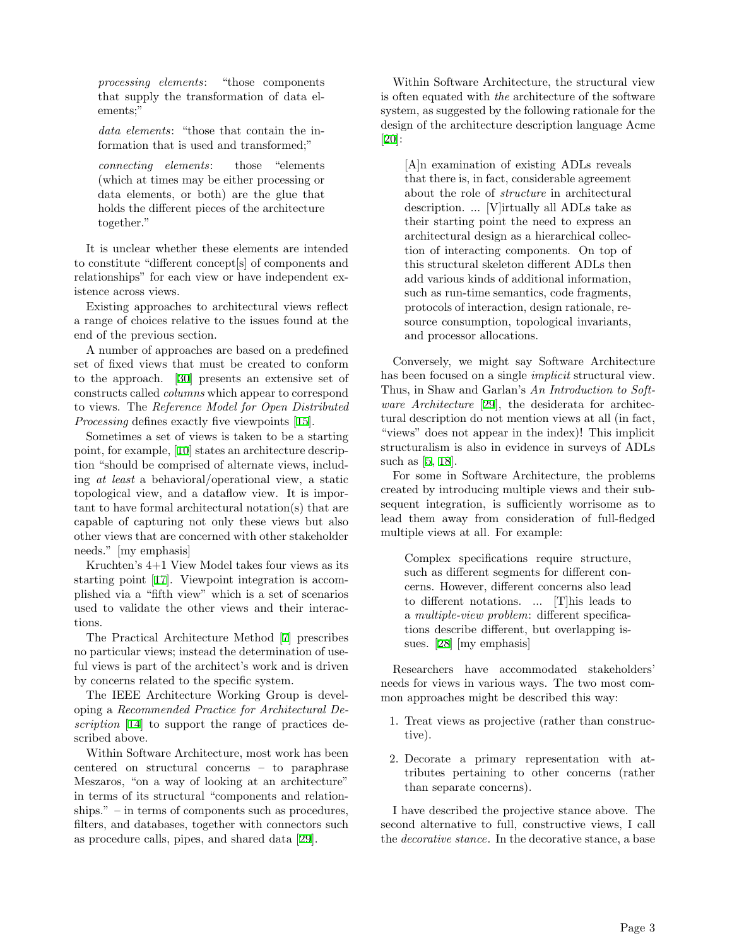*processing elements*: "those components that supply the transformation of data elements;"

*data elements*: "those that contain the information that is used and transformed;"

*connecting elements*: those "elements (which at times may be either processing or data elements, or both) are the glue that holds the different pieces of the architecture together."

It is unclear whether these elements are intended to constitute "different concept[s] of components and relationships" for each view or have independent existence across views.

Existing approaches to architectural views reflect a range of choices relative to the issues found at the end of the previous section.

A number of approaches are based on a predefined set of fixed views that must be created to conform to the approach. [[30\]](#page-9-1) presents an extensive set of constructs called *columns* which appear to correspond to views. The *Reference Model for Open Distributed Processing* defines exactly five viewpoints [\[15](#page-8-8)].

Sometimes a set of views is taken to be a starting point, for example, [\[10](#page-8-9)] states an architecture description "should be comprised of alternate views, including *at least* a behavioral/operational view, a static topological view, and a dataflow view. It is important to have formal architectural notation(s) that are capable of capturing not only these views but also other views that are concerned with other stakeholder needs." [my emphasis]

Kruchten's 4+1 View Model takes four views as its starting point [\[17](#page-8-10)]. Viewpoint integration is accomplished via a "fifth view" which is a set of scenarios used to validate the other views and their interactions.

The Practical Architecture Method [\[7](#page-7-1)] prescribes no particular views; instead the determination of useful views is part of the architect's work and is driven by concerns related to the specific system.

The IEEE Architecture Working Group is developing a *Recommended Practice for Architectural Description* [\[14](#page-8-4)] to support the range of practices described above.

Within Software Architecture, most work has been centered on structural concerns – to paraphrase Meszaros, "on a way of looking at an architecture" in terms of its structural "components and relationships." – in terms of components such as procedures, filters, and databases, together with connectors such as procedure calls, pipes, and shared data [[29](#page-9-0)].

Within Software Architecture, the structural view is often equated with *the* architecture of the software system, as suggested by the following rationale for the design of the architecture description language Acme [\[20](#page-8-11)]:

[A]n examination of existing ADLs reveals that there is, in fact, considerable agreement about the role of *structure* in architectural description. ... [V]irtually all ADLs take as their starting point the need to express an architectural design as a hierarchical collection of interacting components. On top of this structural skeleton different ADLs then add various kinds of additional information, such as run-time semantics, code fragments, protocols of interaction, design rationale, resource consumption, topological invariants, and processor allocations.

Conversely, we might say Software Architecture has been focused on a single *implicit* structural view. Thus, in Shaw and Garlan's *An Introduction to Software Architecture* [\[29](#page-9-0)], the desiderata for architectural description do not mention views at all (in fact, "views" does not appear in the index)! This implicit structuralism is also in evidence in surveys of ADLs such as [\[5](#page-7-2), [18](#page-8-12)].

For some in Software Architecture, the problems created by introducing multiple views and their subsequent integration, is sufficiently worrisome as to lead them away from consideration of full-fledged multiple views at all. For example:

Complex specifications require structure, such as different segments for different concerns. However, different concerns also lead to different notations. ... [T]his leads to a *multiple-view problem*: different specifications describe different, but overlapping issues. [\[28](#page-9-2)] [my emphasis]

Researchers have accommodated stakeholders' needs for views in various ways. The two most common approaches might be described this way:

- 1. Treat views as projective (rather than constructive).
- 2. Decorate a primary representation with attributes pertaining to other concerns (rather than separate concerns).

I have described the projective stance above. The second alternative to full, constructive views, I call the *decorative stance*. In the decorative stance, a base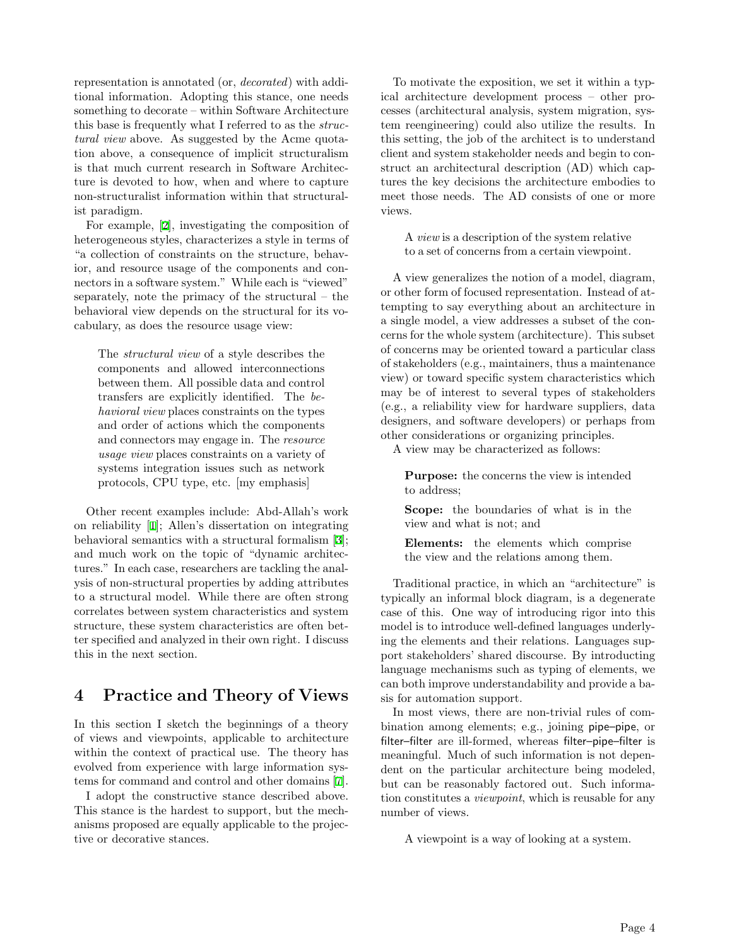representation is annotated (or, *decorated*) with additional information. Adopting this stance, one needs something to decorate – within Software Architecture this base is frequently what I referred to as the *structural view* above. As suggested by the Acme quotation above, a consequence of implicit structuralism is that much current research in Software Architecture is devoted to how, when and where to capture non-structuralist information within that structuralist paradigm.

For example, [[2\]](#page-7-3), investigating the composition of heterogeneous styles, characterizes a style in terms of "a collection of constraints on the structure, behavior, and resource usage of the components and connectors in a software system." While each is "viewed" separately, note the primacy of the structural – the behavioral view depends on the structural for its vocabulary, as does the resource usage view:

The *structural view* of a style describes the components and allowed interconnections between them. All possible data and control transfers are explicitly identified. The *behavioral view* places constraints on the types and order of actions which the components and connectors may engage in. The *resource usage view* places constraints on a variety of systems integration issues such as network protocols, CPU type, etc. [my emphasis]

Other recent examples include: Abd-Allah's work on reliability [\[1](#page-7-4)]; Allen's dissertation on integrating behavioral semantics with a structural formalism [\[3](#page-7-5)]; and much work on the topic of "dynamic architectures." In each case, researchers are tackling the analysis of non-structural properties by adding attributes to a structural model. While there are often strong correlates between system characteristics and system structure, these system characteristics are often better specified and analyzed in their own right. I discuss this in the next section.

# 4 Practice and Theory of Views

In this section I sketch the beginnings of a theory of views and viewpoints, applicable to architecture within the context of practical use. The theory has evolved from experience with large information systems for command and control and other domains [\[7](#page-7-1)].

I adopt the constructive stance described above. This stance is the hardest to support, but the mechanisms proposed are equally applicable to the projective or decorative stances.

To motivate the exposition, we set it within a typical architecture development process – other processes (architectural analysis, system migration, system reengineering) could also utilize the results. In this setting, the job of the architect is to understand client and system stakeholder needs and begin to construct an architectural description (AD) which captures the key decisions the architecture embodies to meet those needs. The AD consists of one or more views.

A *view* is a description of the system relative to a set of concerns from a certain viewpoint.

A view generalizes the notion of a model, diagram, or other form of focused representation. Instead of attempting to say everything about an architecture in a single model, a view addresses a subset of the concerns for the whole system (architecture). This subset of concerns may be oriented toward a particular class of stakeholders (e.g., maintainers, thus a maintenance view) or toward specific system characteristics which may be of interest to several types of stakeholders (e.g., a reliability view for hardware suppliers, data designers, and software developers) or perhaps from other considerations or organizing principles.

A view may be characterized as follows:

Purpose: the concerns the view is intended to address;

Scope: the boundaries of what is in the view and what is not; and

Elements: the elements which comprise the view and the relations among them.

Traditional practice, in which an "architecture" is typically an informal block diagram, is a degenerate case of this. One way of introducing rigor into this model is to introduce well-defined languages underlying the elements and their relations. Languages support stakeholders' shared discourse. By introducting language mechanisms such as typing of elements, we can both improve understandability and provide a basis for automation support.

In most views, there are non-trivial rules of combination among elements; e.g., joining pipe–pipe, or filter–filter are ill-formed, whereas filter–pipe–filter is meaningful. Much of such information is not dependent on the particular architecture being modeled, but can be reasonably factored out. Such information constitutes a *viewpoint*, which is reusable for any number of views.

A viewpoint is a way of looking at a system.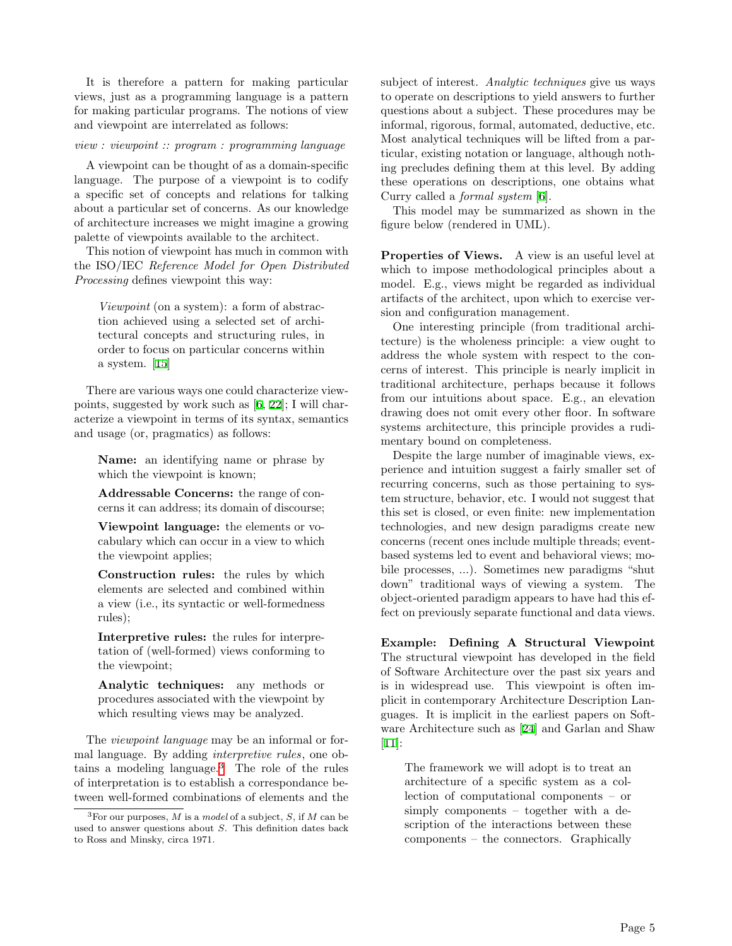It is therefore a pattern for making particular views, just as a programming language is a pattern for making particular programs. The notions of view and viewpoint are interrelated as follows:

#### *view : viewpoint :: program : programming language*

A viewpoint can be thought of as a domain-specific language. The purpose of a viewpoint is to codify a specific set of concepts and relations for talking about a particular set of concerns. As our knowledge of architecture increases we might imagine a growing palette of viewpoints available to the architect.

This notion of viewpoint has much in common with the ISO/IEC *Reference Model for Open Distributed Processing* defines viewpoint this way:

*Viewpoint* (on a system): a form of abstraction achieved using a selected set of architectural concepts and structuring rules, in order to focus on particular concerns within a system. [[15\]](#page-8-8)

There are various ways one could characterize viewpoints, suggested by work such as [[6,](#page-7-6) [22\]](#page-8-3); I will characterize a viewpoint in terms of its syntax, semantics and usage (or, pragmatics) as follows:

Name: an identifying name or phrase by which the viewpoint is known;

Addressable Concerns: the range of concerns it can address; its domain of discourse;

Viewpoint language: the elements or vocabulary which can occur in a view to which the viewpoint applies;

Construction rules: the rules by which elements are selected and combined within a view (i.e., its syntactic or well-formedness rules);

Interpretive rules: the rules for interpretation of (well-formed) views conforming to the viewpoint;

Analytic techniques: any methods or procedures associated with the viewpoint by which resulting views may be analyzed.

The *viewpoint language* may be an informal or formal language. By adding *interpretive rules*, one obtains a modeling language. $3$  The role of the rules of interpretation is to establish a correspondance between well-formed combinations of elements and the subject of interest. *Analytic techniques* give us ways to operate on descriptions to yield answers to further questions about a subject. These procedures may be informal, rigorous, formal, automated, deductive, etc. Most analytical techniques will be lifted from a particular, existing notation or language, although nothing precludes defining them at this level. By adding these operations on descriptions, one obtains what Curry called a *formal system* [\[6](#page-7-6)].

This model may be summarized as shown in the figure below (rendered in UML).

Properties of Views. A view is an useful level at which to impose methodological principles about a model. E.g., views might be regarded as individual artifacts of the architect, upon which to exercise version and configuration management.

One interesting principle (from traditional architecture) is the wholeness principle: a view ought to address the whole system with respect to the concerns of interest. This principle is nearly implicit in traditional architecture, perhaps because it follows from our intuitions about space. E.g., an elevation drawing does not omit every other floor. In software systems architecture, this principle provides a rudimentary bound on completeness.

Despite the large number of imaginable views, experience and intuition suggest a fairly smaller set of recurring concerns, such as those pertaining to system structure, behavior, etc. I would not suggest that this set is closed, or even finite: new implementation technologies, and new design paradigms create new concerns (recent ones include multiple threads; eventbased systems led to event and behavioral views; mobile processes, ...). Sometimes new paradigms "shut down" traditional ways of viewing a system. The object-oriented paradigm appears to have had this effect on previously separate functional and data views.

Example: Defining A Structural Viewpoint The structural viewpoint has developed in the field of Software Architecture over the past six years and is in widespread use. This viewpoint is often implicit in contemporary Architecture Description Languages. It is implicit in the earliest papers on Software Architecture such as [\[24](#page-8-7)] and Garlan and Shaw [\[11](#page-8-13)]:

The framework we will adopt is to treat an architecture of a specific system as a collection of computational components – or simply components – together with a description of the interactions between these components – the connectors. Graphically

<span id="page-4-0"></span><sup>3</sup>For our purposes, *M* is a *model* of a subject, *S*, if *M* can be used to answer questions about *S*. This definition dates back to Ross and Minsky, circa 1971.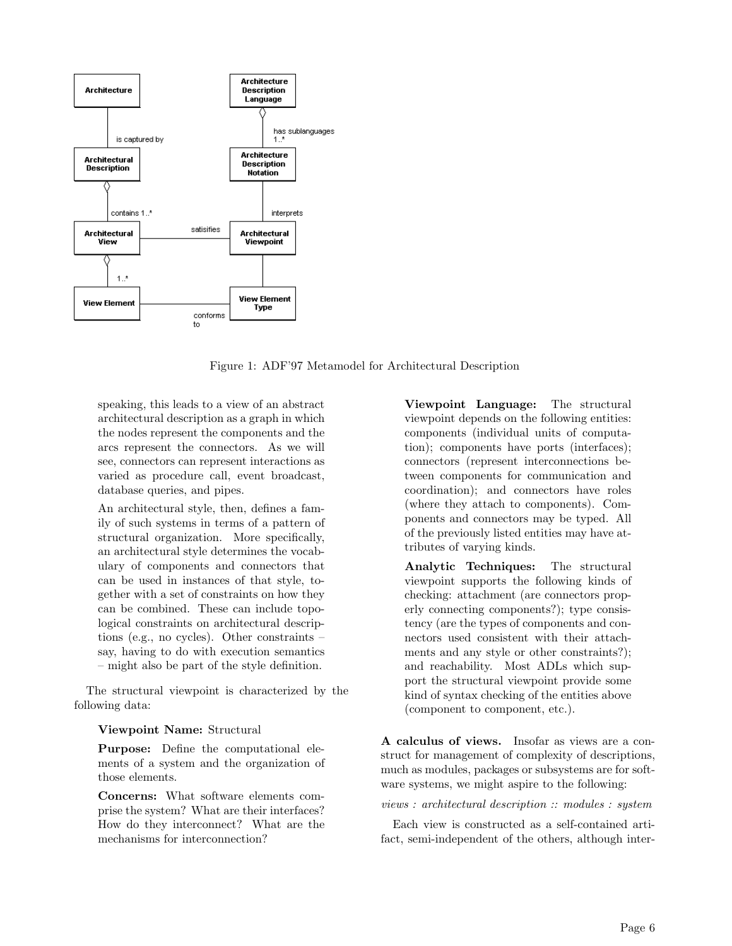

Figure 1: ADF'97 Metamodel for Architectural Description

speaking, this leads to a view of an abstract architectural description as a graph in which the nodes represent the components and the arcs represent the connectors. As we will see, connectors can represent interactions as varied as procedure call, event broadcast, database queries, and pipes.

An architectural style, then, defines a family of such systems in terms of a pattern of structural organization. More specifically, an architectural style determines the vocabulary of components and connectors that can be used in instances of that style, together with a set of constraints on how they can be combined. These can include topological constraints on architectural descriptions (e.g., no cycles). Other constraints – say, having to do with execution semantics – might also be part of the style definition.

The structural viewpoint is characterized by the following data:

#### Viewpoint Name: Structural

Purpose: Define the computational elements of a system and the organization of those elements.

Concerns: What software elements comprise the system? What are their interfaces? How do they interconnect? What are the mechanisms for interconnection?

Viewpoint Language: The structural viewpoint depends on the following entities: components (individual units of computation); components have ports (interfaces); connectors (represent interconnections between components for communication and coordination); and connectors have roles (where they attach to components). Components and connectors may be typed. All of the previously listed entities may have attributes of varying kinds.

Analytic Techniques: The structural viewpoint supports the following kinds of checking: attachment (are connectors properly connecting components?); type consistency (are the types of components and connectors used consistent with their attachments and any style or other constraints?); and reachability. Most ADLs which support the structural viewpoint provide some kind of syntax checking of the entities above (component to component, etc.).

A calculus of views. Insofar as views are a construct for management of complexity of descriptions, much as modules, packages or subsystems are for software systems, we might aspire to the following:

*views : architectural description :: modules : system*

Each view is constructed as a self-contained artifact, semi-independent of the others, although inter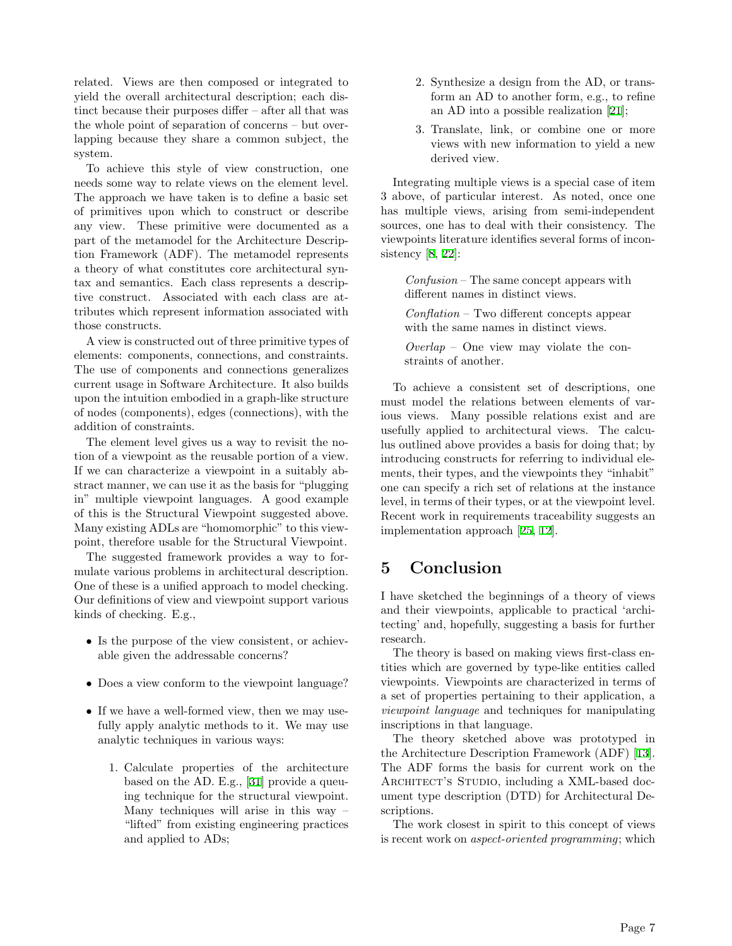related. Views are then composed or integrated to yield the overall architectural description; each distinct because their purposes differ – after all that was the whole point of separation of concerns – but overlapping because they share a common subject, the system.

To achieve this style of view construction, one needs some way to relate views on the element level. The approach we have taken is to define a basic set of primitives upon which to construct or describe any view. These primitive were documented as a part of the metamodel for the Architecture Description Framework (ADF). The metamodel represents a theory of what constitutes core architectural syntax and semantics. Each class represents a descriptive construct. Associated with each class are attributes which represent information associated with those constructs.

A view is constructed out of three primitive types of elements: components, connections, and constraints. The use of components and connections generalizes current usage in Software Architecture. It also builds upon the intuition embodied in a graph-like structure of nodes (components), edges (connections), with the addition of constraints.

The element level gives us a way to revisit the notion of a viewpoint as the reusable portion of a view. If we can characterize a viewpoint in a suitably abstract manner, we can use it as the basis for "plugging in" multiple viewpoint languages. A good example of this is the Structural Viewpoint suggested above. Many existing ADLs are "homomorphic" to this viewpoint, therefore usable for the Structural Viewpoint.

The suggested framework provides a way to formulate various problems in architectural description. One of these is a unified approach to model checking. Our definitions of view and viewpoint support various kinds of checking. E.g.,

- Is the purpose of the view consistent, or achievable given the addressable concerns?
- Does a view conform to the viewpoint language?
- If we have a well-formed view, then we may usefully apply analytic methods to it. We may use analytic techniques in various ways:
	- 1. Calculate properties of the architecture based on the AD. E.g., [[31\]](#page-9-3) provide a queuing technique for the structural viewpoint. Many techniques will arise in this way – "lifted" from existing engineering practices and applied to ADs;
- 2. Synthesize a design from the AD, or transform an AD to another form, e.g., to refine an AD into a possible realization [\[21](#page-8-14)];
- 3. Translate, link, or combine one or more views with new information to yield a new derived view.

Integrating multiple views is a special case of item 3 above, of particular interest. As noted, once one has multiple views, arising from semi-independent sources, one has to deal with their consistency. The viewpoints literature identifies several forms of incon-sistency [[8,](#page-8-15) [22\]](#page-8-3):

*Confusion* – The same concept appears with different names in distinct views.

*Conflation* – Two different concepts appear with the same names in distinct views.

*Overlap* – One view may violate the constraints of another.

To achieve a consistent set of descriptions, one must model the relations between elements of various views. Many possible relations exist and are usefully applied to architectural views. The calculus outlined above provides a basis for doing that; by introducing constructs for referring to individual elements, their types, and the viewpoints they "inhabit" one can specify a rich set of relations at the instance level, in terms of their types, or at the viewpoint level. Recent work in requirements traceability suggests an implementation approach [\[25](#page-8-16), [12](#page-8-17)].

# 5 Conclusion

I have sketched the beginnings of a theory of views and their viewpoints, applicable to practical 'architecting' and, hopefully, suggesting a basis for further research.

The theory is based on making views first-class entities which are governed by type-like entities called viewpoints. Viewpoints are characterized in terms of a set of properties pertaining to their application, a *viewpoint language* and techniques for manipulating inscriptions in that language.

The theory sketched above was prototyped in the Architecture Description Framework (ADF) [[13\]](#page-8-18). The ADF forms the basis for current work on the ARCHITECT'S STUDIO, including a XML-based document type description (DTD) for Architectural Descriptions.

The work closest in spirit to this concept of views is recent work on *aspect-oriented programming*; which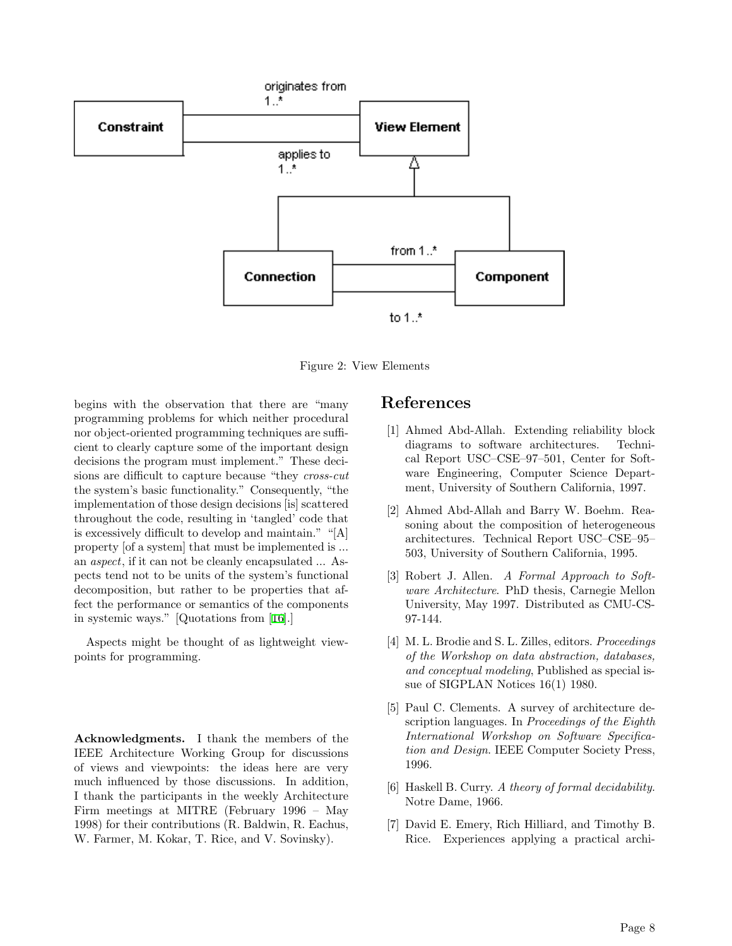

Figure 2: View Elements

begins with the observation that there are "many programming problems for which neither procedural nor object-oriented programming techniques are sufficient to clearly capture some of the important design decisions the program must implement." These decisions are difficult to capture because "they *cross-cut* the system's basic functionality." Consequently, "the implementation of those design decisions [is] scattered throughout the code, resulting in 'tangled' code that is excessively difficult to develop and maintain." "[A] property [of a system] that must be implemented is ... an *aspect*, if it can not be cleanly encapsulated ... Aspects tend not to be units of the system's functional decomposition, but rather to be properties that affect the performance or semantics of the components in systemic ways." [Quotations from [[16](#page-8-19)].]

Aspects might be thought of as lightweight viewpoints for programming.

Acknowledgments. I thank the members of the IEEE Architecture Working Group for discussions of views and viewpoints: the ideas here are very much influenced by those discussions. In addition, I thank the participants in the weekly Architecture Firm meetings at MITRE (February 1996 – May 1998) for their contributions (R. Baldwin, R. Eachus, W. Farmer, M. Kokar, T. Rice, and V. Sovinsky).

#### References

- <span id="page-7-4"></span>[1] Ahmed Abd-Allah. Extending reliability block diagrams to software architectures. Technical Report USC–CSE–97–501, Center for Software Engineering, Computer Science Department, University of Southern California, 1997.
- <span id="page-7-3"></span>[2] Ahmed Abd-Allah and Barry W. Boehm. Reasoning about the composition of heterogeneous architectures. Technical Report USC–CSE–95– 503, University of Southern California, 1995.
- <span id="page-7-5"></span>[3] Robert J. Allen. *A Formal Approach to Software Architecture*. PhD thesis, Carnegie Mellon University, May 1997. Distributed as CMU-CS-97-144.
- <span id="page-7-0"></span>[4] M. L. Brodie and S. L. Zilles, editors. *Proceedings of the Workshop on data abstraction, databases, and conceptual modeling*, Published as special issue of SIGPLAN Notices 16(1) 1980.
- <span id="page-7-2"></span>[5] Paul C. Clements. A survey of architecture description languages. In *Proceedings of the Eighth International Workshop on Software Specification and Design*. IEEE Computer Society Press, 1996.
- <span id="page-7-6"></span>[6] Haskell B. Curry. *A theory of formal decidability*. Notre Dame, 1966.
- <span id="page-7-1"></span>[7] David E. Emery, Rich Hilliard, and Timothy B. Rice. Experiences applying a practical archi-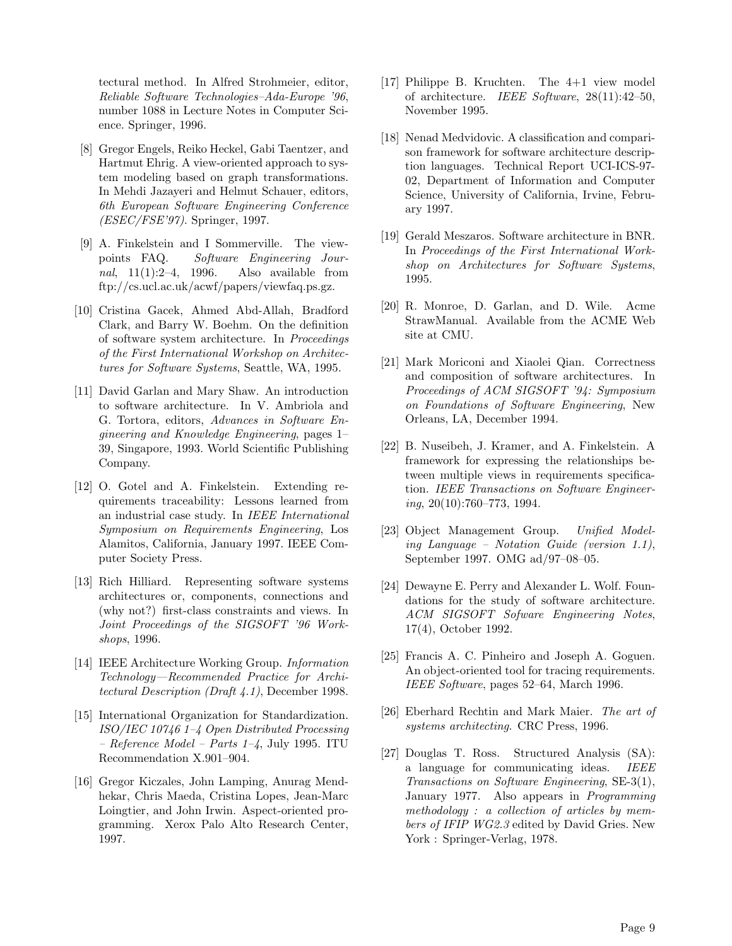tectural method. In Alfred Strohmeier, editor, *Reliable Software Technologies–Ada-Europe '96*, number 1088 in Lecture Notes in Computer Science. Springer, 1996.

- <span id="page-8-15"></span>[8] Gregor Engels, Reiko Heckel, Gabi Taentzer, and Hartmut Ehrig. A view-oriented approach to system modeling based on graph transformations. In Mehdi Jazayeri and Helmut Schauer, editors, *6th European Software Engineering Conference (ESEC/FSE'97)*. Springer, 1997.
- <span id="page-8-2"></span>[9] A. Finkelstein and I Sommerville. The viewpoints FAQ. *Software Engineering Journal*, 11(1):2–4, 1996. Also available from ftp://cs.ucl.ac.uk/acwf/papers/viewfaq.ps.gz.
- <span id="page-8-9"></span>[10] Cristina Gacek, Ahmed Abd-Allah, Bradford Clark, and Barry W. Boehm. On the definition of software system architecture. In *Proceedings of the First International Workshop on Architectures for Software Systems*, Seattle, WA, 1995.
- <span id="page-8-13"></span>[11] David Garlan and Mary Shaw. An introduction to software architecture. In V. Ambriola and G. Tortora, editors, *Advances in Software Engineering and Knowledge Engineering*, pages 1– 39, Singapore, 1993. World Scientific Publishing Company.
- <span id="page-8-17"></span>[12] O. Gotel and A. Finkelstein. Extending requirements traceability: Lessons learned from an industrial case study. In *IEEE International Symposium on Requirements Engineering*, Los Alamitos, California, January 1997. IEEE Computer Society Press.
- <span id="page-8-18"></span>[13] Rich Hilliard. Representing software systems architectures or, components, connections and (why not?) first-class constraints and views. In *Joint Proceedings of the SIGSOFT '96 Workshops*, 1996.
- <span id="page-8-4"></span>[14] IEEE Architecture Working Group. *Information Technology—Recommended Practice for Architectural Description (Draft 4.1)*, December 1998.
- <span id="page-8-8"></span>[15] International Organization for Standardization. *ISO/IEC 10746 1–4 Open Distributed Processing – Reference Model – Parts 1–4*, July 1995. ITU Recommendation X.901–904.
- <span id="page-8-19"></span>[16] Gregor Kiczales, John Lamping, Anurag Mendhekar, Chris Maeda, Cristina Lopes, Jean-Marc Loingtier, and John Irwin. Aspect-oriented programming. Xerox Palo Alto Research Center, 1997.
- <span id="page-8-10"></span>[17] Philippe B. Kruchten. The 4+1 view model of architecture. *IEEE Software*, 28(11):42–50, November 1995.
- <span id="page-8-12"></span>[18] Nenad Medvidovic. A classification and comparison framework for software architecture description languages. Technical Report UCI-ICS-97- 02, Department of Information and Computer Science, University of California, Irvine, February 1997.
- <span id="page-8-6"></span>[19] Gerald Meszaros. Software architecture in BNR. In *Proceedings of the First International Workshop on Architectures for Software Systems*, 1995.
- <span id="page-8-11"></span>[20] R. Monroe, D. Garlan, and D. Wile. Acme StrawManual. Available from the ACME Web site at CMU.
- <span id="page-8-14"></span>[21] Mark Moriconi and Xiaolei Qian. Correctness and composition of software architectures. In *Proceedings of ACM SIGSOFT '94: Symposium on Foundations of Software Engineering*, New Orleans, LA, December 1994.
- <span id="page-8-3"></span>[22] B. Nuseibeh, J. Kramer, and A. Finkelstein. A framework for expressing the relationships between multiple views in requirements specification. *IEEE Transactions on Software Engineering*, 20(10):760–773, 1994.
- <span id="page-8-1"></span>[23] Object Management Group. *Unified Modeling Language – Notation Guide (version 1.1)*, September 1997. OMG ad/97–08–05.
- <span id="page-8-7"></span>[24] Dewayne E. Perry and Alexander L. Wolf. Foundations for the study of software architecture. *ACM SIGSOFT Sofware Engineering Notes*, 17(4), October 1992.
- <span id="page-8-16"></span>[25] Francis A. C. Pinheiro and Joseph A. Goguen. An object-oriented tool for tracing requirements. *IEEE Software*, pages 52–64, March 1996.
- <span id="page-8-5"></span>[26] Eberhard Rechtin and Mark Maier. *The art of systems architecting*. CRC Press, 1996.
- <span id="page-8-0"></span>[27] Douglas T. Ross. Structured Analysis (SA): a language for communicating ideas. *IEEE Transactions on Software Engineering*, SE-3(1), January 1977. Also appears in *Programming methodology : a collection of articles by members of IFIP WG2.3* edited by David Gries. New York : Springer-Verlag, 1978.